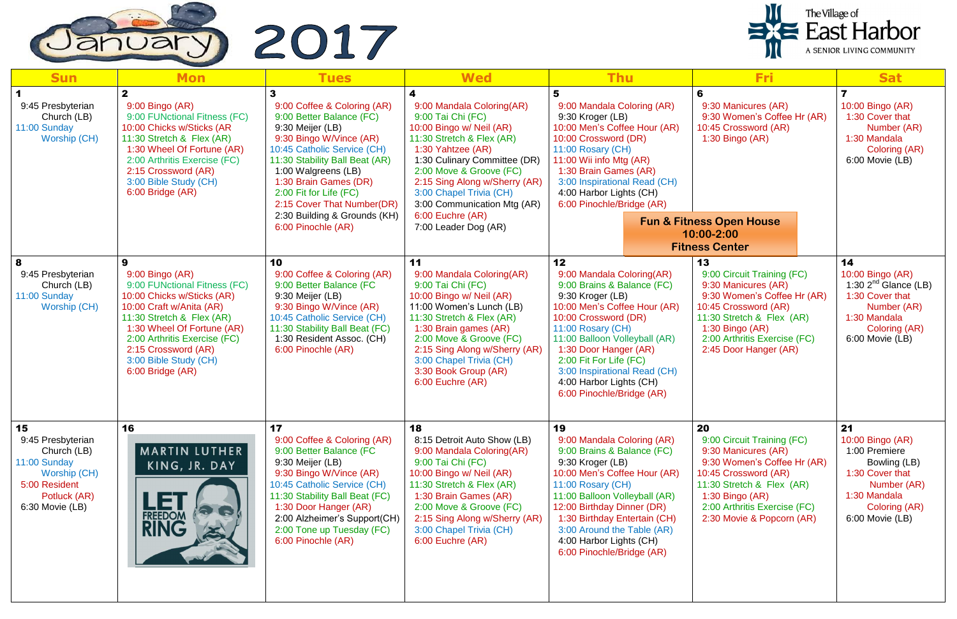

| <b>Sun</b>                                                                                                                 | <b>Mon</b>                                                                                                                                                                                                                                                                    | <b>Tues</b>                                                                                                                                                                                                                                                                                                                           | <b>Wed</b>                                                                                                                                                                                                                                                                                                                     | <b>Thu</b>                                                                                                                                                                                                                                                                                                                                 | <b>Fri</b>                                                                                                                                                                                                                    | <b>Sat</b>                                                                                                                                    |
|----------------------------------------------------------------------------------------------------------------------------|-------------------------------------------------------------------------------------------------------------------------------------------------------------------------------------------------------------------------------------------------------------------------------|---------------------------------------------------------------------------------------------------------------------------------------------------------------------------------------------------------------------------------------------------------------------------------------------------------------------------------------|--------------------------------------------------------------------------------------------------------------------------------------------------------------------------------------------------------------------------------------------------------------------------------------------------------------------------------|--------------------------------------------------------------------------------------------------------------------------------------------------------------------------------------------------------------------------------------------------------------------------------------------------------------------------------------------|-------------------------------------------------------------------------------------------------------------------------------------------------------------------------------------------------------------------------------|-----------------------------------------------------------------------------------------------------------------------------------------------|
| 9:45 Presbyterian<br>Church (LB)<br>11:00 Sunday<br>Worship (CH)                                                           | 9:00 Bingo (AR)<br>9:00 FUNctional Fitness (FC)<br>10:00 Chicks w/Sticks (AR<br>11:30 Stretch & Flex (AR)<br>1:30 Wheel Of Fortune (AR)<br>2:00 Arthritis Exercise (FC)<br>2:15 Crossword (AR)<br>3:00 Bible Study (CH)<br>6:00 Bridge (AR)                                   | 9:00 Coffee & Coloring (AR)<br>9:00 Better Balance (FC)<br>9:30 Meijer (LB)<br>9:30 Bingo W/Vince (AR)<br>10:45 Catholic Service (CH)<br>11:30 Stability Ball Beat (AR)<br>1:00 Walgreens (LB)<br>1:30 Brain Games (DR)<br>2:00 Fit for Life (FC)<br>2:15 Cover That Number(DR)<br>2:30 Building & Grounds (KH)<br>6:00 Pinochle (AR) | 9:00 Mandala Coloring(AR)<br>9:00 Tai Chi (FC)<br>10:00 Bingo w/ Neil (AR)<br>11:30 Stretch & Flex (AR)<br>1:30 Yahtzee (AR)<br>1:30 Culinary Committee (DR)<br>2:00 Move & Groove (FC)<br>2:15 Sing Along w/Sherry (AR)<br>3:00 Chapel Trivia (CH)<br>3:00 Communication Mtg (AR)<br>6:00 Euchre (AR)<br>7:00 Leader Dog (AR) | 9:00 Mandala Coloring (AR)<br>9:30 Kroger (LB)<br>10:00 Men's Coffee Hour (AR)<br>10:00 Crossword (DR)<br>11:00 Rosary (CH)<br>11:00 Wii info Mtg (AR)<br>1:30 Brain Games (AR)<br>3:00 Inspirational Read (CH)<br>4:00 Harbor Lights (CH)<br>6:00 Pinochle/Bridge (AR)                                                                    | 6<br>9:30 Manicures (AR)<br>9:30 Women's Coffee Hr (AR)<br>10:45 Crossword (AR)<br>1:30 Bingo (AR)<br><b>Fun &amp; Fitness Open House</b><br>10:00-2:00<br><b>Fitness Center</b>                                              | 10:00 Bingo (AR)<br>1:30 Cover that<br>Number (AR)<br>1:30 Mandala<br>Coloring (AR)<br>6:00 Movie (LB)                                        |
| 9:45 Presbyterian<br>Church (LB)<br>11:00 Sunday<br>Worship (CH)                                                           | 9<br>9:00 Bingo (AR)<br>9:00 FUNctional Fitness (FC)<br>10:00 Chicks w/Sticks (AR)<br>10:00 Craft w/Anita (AR)<br>11:30 Stretch & Flex (AR)<br>1:30 Wheel Of Fortune (AR)<br>2:00 Arthritis Exercise (FC)<br>2:15 Crossword (AR)<br>3:00 Bible Study (CH)<br>6:00 Bridge (AR) | 10<br>9:00 Coffee & Coloring (AR)<br>9:00 Better Balance (FC<br>9:30 Meijer (LB)<br>9:30 Bingo W/Vince (AR)<br>10:45 Catholic Service (CH)<br>11:30 Stability Ball Beat (FC)<br>1:30 Resident Assoc. (CH)<br>6:00 Pinochle (AR)                                                                                                       | 11<br>9:00 Mandala Coloring(AR)<br>9:00 Tai Chi (FC)<br>10:00 Bingo w/ Neil (AR)<br>11:00 Women's Lunch (LB)<br>11:30 Stretch & Flex (AR)<br>1:30 Brain games (AR)<br>2:00 Move & Groove (FC)<br>2:15 Sing Along w/Sherry (AR)<br>3:00 Chapel Trivia (CH)<br>3:30 Book Group (AR)<br>6:00 Euchre (AR)                          | 12<br>9:00 Mandala Coloring(AR)<br>9:00 Brains & Balance (FC)<br>9:30 Kroger (LB)<br>10:00 Men's Coffee Hour (AR)<br>10:00 Crossword (DR)<br>11:00 Rosary (CH)<br>11:00 Balloon Volleyball (AR)<br>1:30 Door Hanger (AR)<br>2:00 Fit For Life (FC)<br>3:00 Inspirational Read (CH)<br>4:00 Harbor Lights (CH)<br>6:00 Pinochle/Bridge (AR) | 13<br>9:00 Circuit Training (FC)<br>9:30 Manicures (AR)<br>9:30 Women's Coffee Hr (AR)<br>10:45 Crossword (AR)<br>11:30 Stretch & Flex (AR)<br>$1:30$ Bingo (AR)<br>2:00 Arthritis Exercise (FC)<br>2:45 Door Hanger (AR)     | 14<br>10:00 Bingo (AR)<br>1:30 $2nd$ Glance (LB)<br>1:30 Cover that<br>Number (AR)<br>1:30 Mandala<br>Coloring (AR)<br>6:00 Movie (LB)        |
| 15<br>9:45 Presbyterian<br>Church (LB)<br>11:00 Sunday<br>Worship (CH)<br>5:00 Resident<br>Potluck (AR)<br>6:30 Movie (LB) | 16<br>MARTIN LUTHER<br>KING, JR. DAY<br><b>FREEDOM</b><br><b>RING</b>                                                                                                                                                                                                         | 17<br>9:00 Coffee & Coloring (AR)<br>9:00 Better Balance (FC<br>9:30 Meijer (LB)<br>9:30 Bingo W/Vince (AR)<br>10:45 Catholic Service (CH)<br>11:30 Stability Ball Beat (FC)<br>1:30 Door Hanger (AR)<br>2:00 Alzheimer's Support(CH)<br>2:00 Tone up Tuesday (FC)<br>6:00 Pinochle (AR)                                              | 18<br>8:15 Detroit Auto Show (LB)<br>9:00 Mandala Coloring(AR)<br>9:00 Tai Chi (FC)<br>10:00 Bingo w/ Neil (AR)<br>11:30 Stretch & Flex (AR)<br>1:30 Brain Games (AR)<br>2:00 Move & Groove (FC)<br>2:15 Sing Along w/Sherry (AR)<br>3:00 Chapel Trivia (CH)<br>6:00 Euchre (AR)                                               | 19<br>9:00 Mandala Coloring (AR)<br>9:00 Brains & Balance (FC)<br>9:30 Kroger (LB)<br>10:00 Men's Coffee Hour (AR)<br>11:00 Rosary (CH)<br>11:00 Balloon Volleyball (AR)<br>12:00 Birthday Dinner (DR)<br>1:30 Birthday Entertain (CH)<br>3:00 Around the Table (AR)<br>4:00 Harbor Lights (CH)<br>6:00 Pinochle/Bridge (AR)               | 20<br>9:00 Circuit Training (FC)<br>9:30 Manicures (AR)<br>9:30 Women's Coffee Hr (AR)<br>10:45 Crossword (AR)<br>11:30 Stretch & Flex (AR)<br>1:30 Bingo $(AR)$<br>2:00 Arthritis Exercise (FC)<br>2:30 Movie & Popcorn (AR) | 21<br>10:00 Bingo (AR)<br>1:00 Premiere<br>Bowling (LB)<br>1:30 Cover that<br>Number (AR)<br>1:30 Mandala<br>Coloring (AR)<br>6:00 Movie (LB) |